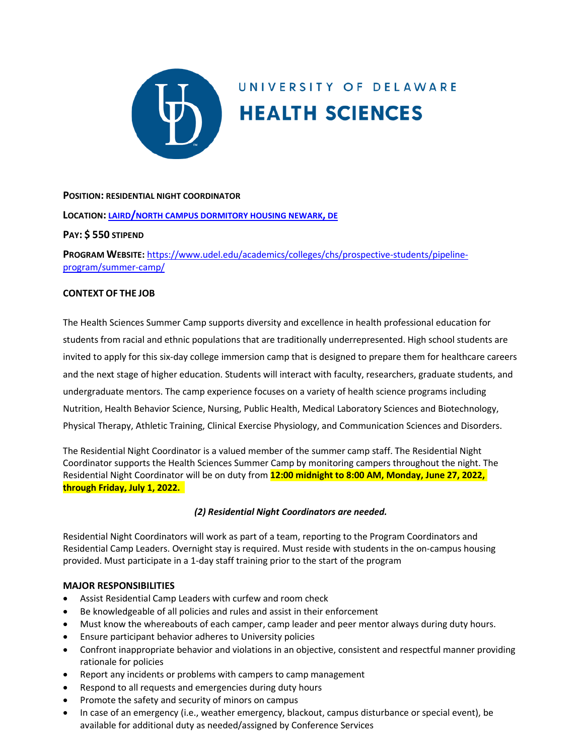

# UNIVERSITY OF DELAWARE **HEALTH SCIENCES**

## **POSITION: RESIDENTIAL NIGHT COORDINATOR**

## **LOCATION: [LAIRD/NORTH CAMPUS](https://css-rdms1.win.udel.edu/maps/) DORMITORY HOUSING NEWARK, DE**

## **PAY: \$ 550 STIPEND**

**PROGRAM WEBSITE:** [https://www.udel.edu/academics/colleges/chs/prospective-students/pipeline](https://www.udel.edu/academics/colleges/chs/prospective-students/pipeline-program/summer-camp/)[program/summer-camp/](https://www.udel.edu/academics/colleges/chs/prospective-students/pipeline-program/summer-camp/)

## **CONTEXT OF THE JOB**

The Health Sciences Summer Camp supports diversity and excellence in health professional education for students from racial and ethnic populations that are traditionally underrepresented. High school students are invited to apply for this six-day college immersion camp that is designed to prepare them for healthcare careers and the next stage of higher education. Students will interact with faculty, researchers, graduate students, and undergraduate mentors. The camp experience focuses on a variety of health science programs including Nutrition, Health Behavior Science, Nursing, Public Health, Medical Laboratory Sciences and Biotechnology, Physical Therapy, Athletic Training, Clinical Exercise Physiology, and Communication Sciences and Disorders.

The Residential Night Coordinator is a valued member of the summer camp staff. The Residential Night Coordinator supports the Health Sciences Summer Camp by monitoring campers throughout the night. The Residential Night Coordinator will be on duty from **12:00 midnight to 8:00 AM, Monday, June 27, 2022, through Friday, July 1, 2022.** 

# *(2) Residential Night Coordinators are needed.*

Residential Night Coordinators will work as part of a team, reporting to the Program Coordinators and Residential Camp Leaders. Overnight stay is required. Must reside with students in the on-campus housing provided. Must participate in a 1-day staff training prior to the start of the program

#### **MAJOR RESPONSIBILITIES**

- Assist Residential Camp Leaders with curfew and room check
- Be knowledgeable of all policies and rules and assist in their enforcement
- Must know the whereabouts of each camper, camp leader and peer mentor always during duty hours.
- Ensure participant behavior adheres to University policies
- Confront inappropriate behavior and violations in an objective, consistent and respectful manner providing rationale for policies
- Report any incidents or problems with campers to camp management
- Respond to all requests and emergencies during duty hours
- Promote the safety and security of minors on campus
- In case of an emergency (i.e., weather emergency, blackout, campus disturbance or special event), be available for additional duty as needed/assigned by Conference Services